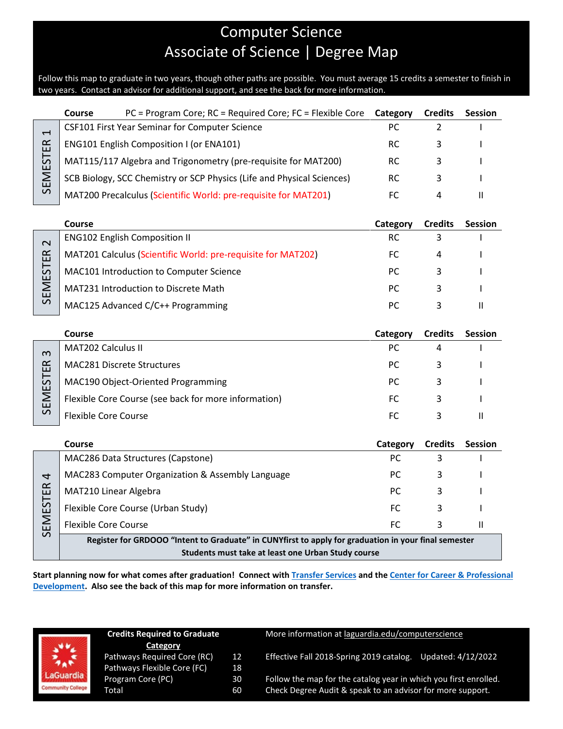# Computer Science Associate of Science | Degree Map

Follow this map to graduate in two years, though other paths are possible. You must average 15 credits a semester to finish in two years. Contact an advisor for additional support, and see the back for more information.

|                                                                                   | <b>Course</b> | $PC = Program Core$ ; $RC = Required Core$ ; $FC = Flexible Core$      | Category | <b>Credits</b> | <b>Session</b> |
|-----------------------------------------------------------------------------------|---------------|------------------------------------------------------------------------|----------|----------------|----------------|
| $\overline{\phantom{0}}$<br>$\alpha$<br>ш<br>$\overline{5}$<br>ш<br>$\mathcal{L}$ |               | CSF101 First Year Seminar for Computer Science                         |          |                |                |
|                                                                                   |               | ENG101 English Composition I (or ENA101)                               | RC       |                |                |
|                                                                                   |               | MAT115/117 Algebra and Trigonometry (pre-requisite for MAT200)         | RC.      |                |                |
|                                                                                   |               | SCB Biology, SCC Chemistry or SCP Physics (Life and Physical Sciences) | RC       |                |                |
|                                                                                   |               | MAT200 Precalculus (Scientific World: pre-requisite for MAT201)        |          | 4              |                |

|               | Course                                                       | Category | <b>Credits</b> | <b>Session</b> |
|---------------|--------------------------------------------------------------|----------|----------------|----------------|
| $\sim$        | <b>ENG102 English Composition II</b>                         | RC       |                |                |
| $\alpha$<br>ш | MAT201 Calculus (Scientific World: pre-requisite for MAT202) | FC.      | 4              |                |
| 57<br>ய       | MAC101 Introduction to Computer Science                      | PC.      |                |                |
| Σ<br>ш        | <b>MAT231 Introduction to Discrete Math</b>                  | РC       |                |                |
| $\Omega$      | MAC125 Advanced C/C++ Programming                            | PC.      |                |                |

|                | Course                                               | Category | <b>Credits</b> | <b>Session</b> |
|----------------|------------------------------------------------------|----------|----------------|----------------|
| $\infty$       | <b>MAT202 Calculus II</b>                            | PC.      |                |                |
| $\propto$<br>ш | MAC281 Discrete Structures                           | PC.      |                |                |
| EST            | MAC190 Object-Oriented Programming                   | PC.      |                |                |
| Σ<br>ш         | Flexible Core Course (see back for more information) | FC.      |                |                |
| $\Omega$       | Flexible Core Course                                 | FС       |                |                |

|                                     | Course                                                                                                | Category | <b>Credits</b> | <b>Session</b> |  |
|-------------------------------------|-------------------------------------------------------------------------------------------------------|----------|----------------|----------------|--|
|                                     | MAC286 Data Structures (Capstone)                                                                     | РC       |                |                |  |
| $\overline{a}$<br>E<br>57<br>ш<br>ш | MAC283 Computer Organization & Assembly Language                                                      | PC.      |                |                |  |
|                                     | MAT210 Linear Algebra                                                                                 | PC.      |                |                |  |
|                                     | Flexible Core Course (Urban Study)                                                                    | FC.      |                |                |  |
|                                     | <b>Flexible Core Course</b>                                                                           | FC.      |                |                |  |
| $\mathcal{L}$                       | Begister for CBBOOO "Intent to Creducte" in CUBV first to explu for quadration in vour final compater |          |                |                |  |

**Register for GRDOOO "Intent to Graduate" in CUNYfirst to apply for graduation in your final semester Students must take at least one Urban Study course** 

**Start planning now for what comes after graduation! Connect with [Transfer Services](https://www.laguardia.edu/transferservices/) and the [Center for Career & Professional](https://www.laguardia.edu/careerservices/)  [Development.](https://www.laguardia.edu/careerservices/) Also see the back of this map for more information on transfer.**



| <b>Credits Required to Graduate</b> |    |  |
|-------------------------------------|----|--|
| Category                            |    |  |
| Pathways Required Core (RC)         | 12 |  |
| Pathways Flexible Core (FC)         | 18 |  |
| Program Core (PC)                   | 30 |  |
| Total                               | 60 |  |

More information at [laguardia.edu/computerscience](https://cuny907-my.sharepoint.com/personal/joshua_goldblatt12_login_cuny_edu/Documents/Degree%20Maps%20&%20Curriculum/MEC/Computer/laguardia.edu/computerscience)

Pathways 2018-Spring 2019 catalog. Updated: 4/12/2022<br>18 Effective Fall 2018-Spring 2019 catalog. Updated: 4/12/2022<br>30 Follow the map for the catalog year in which you first enrolled.

Follow the map for the catalog year in which you first enrolled. Check Degree Audit & speak to an advisor for more support.